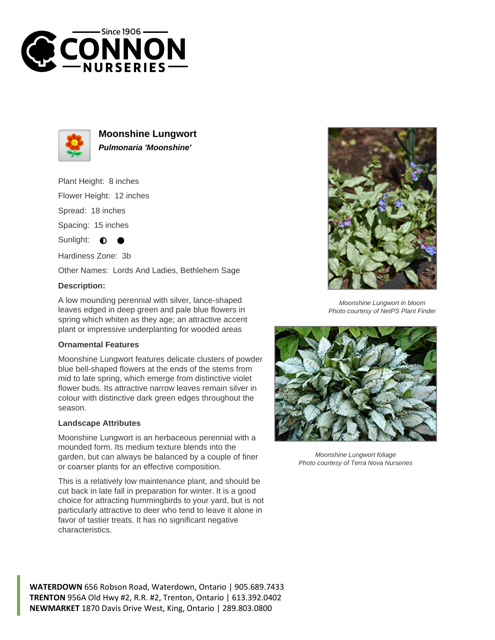



**Moonshine Lungwort Pulmonaria 'Moonshine'**

Plant Height: 8 inches

Flower Height: 12 inches

Spread: 18 inches

Spacing: 15 inches

Sunlight:  $\bullet$ 

Hardiness Zone: 3b

Other Names: Lords And Ladies, Bethlehem Sage

## **Description:**

A low mounding perennial with silver, lance-shaped leaves edged in deep green and pale blue flowers in spring which whiten as they age; an attractive accent plant or impressive underplanting for wooded areas

## **Ornamental Features**

Moonshine Lungwort features delicate clusters of powder blue bell-shaped flowers at the ends of the stems from mid to late spring, which emerge from distinctive violet flower buds. Its attractive narrow leaves remain silver in colour with distinctive dark green edges throughout the season.

## **Landscape Attributes**

Moonshine Lungwort is an herbaceous perennial with a mounded form. Its medium texture blends into the garden, but can always be balanced by a couple of finer or coarser plants for an effective composition.

This is a relatively low maintenance plant, and should be cut back in late fall in preparation for winter. It is a good choice for attracting hummingbirds to your yard, but is not particularly attractive to deer who tend to leave it alone in favor of tastier treats. It has no significant negative characteristics.



Moonshine Lungwort in bloom Photo courtesy of NetPS Plant Finder



Moonshine Lungwort foliage Photo courtesy of Terra Nova Nurseries

**WATERDOWN** 656 Robson Road, Waterdown, Ontario | 905.689.7433 **TRENTON** 956A Old Hwy #2, R.R. #2, Trenton, Ontario | 613.392.0402 **NEWMARKET** 1870 Davis Drive West, King, Ontario | 289.803.0800